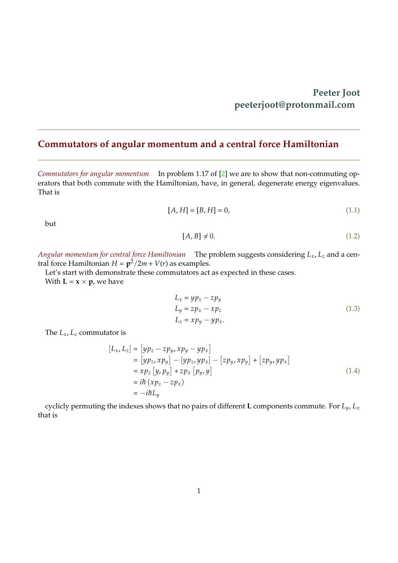## **Peeter Joot peeterjoot@protonmail.com**

## <span id="page-0-0"></span>**Commutators of angular momentum and a central force Hamiltonian**

*Commutators for angular momentum* In problem 1.17 of [\[2\]](#page-5-0) we are to show that non-commuting operators that both commute with the Hamiltonian, have, in general, degenerate energy eigenvalues. That is

$$
[A, H] = [B, H] = 0,\t(1.1)
$$

but

$$
[A, B] \neq 0. \tag{1.2}
$$

*Angular momentum for central force Hamiltonian* The problem suggests considering *Lx*, *L<sup>z</sup>* and a central force Hamiltonian  $H = \frac{\mathbf{p}^2}{2m} + V(r)$  as examples.

Let's start with demonstrate these commutators act as expected in these cases. With  $L = x \times p$ , we have

$$
L_x = yp_z - zp_y
$$
  
\n
$$
L_y = zp_x - xp_z
$$
  
\n
$$
L_z = xp_y - yp_x.
$$
\n(1.3)

The  $L_x$ ,  $L_z$  commutator is

$$
[L_x, L_z] = [yp_z - zp_y, xp_y - yp_x]
$$
  
\n
$$
= [yp_z, xp_y] - [yp_z, yp_x] - [zp_y, xp_y] + [zp_y, yp_x]
$$
  
\n
$$
= xp_z [y, py] + zp_x [p_y, y]
$$
  
\n
$$
= i\hbar (xp_z - zp_x)
$$
  
\n
$$
= -i\hbar L_y
$$
\n(1.4)

cyclicly permuting the indexes shows that no pairs of different **L** components commute. For *Ly*, *L<sup>x</sup>* that is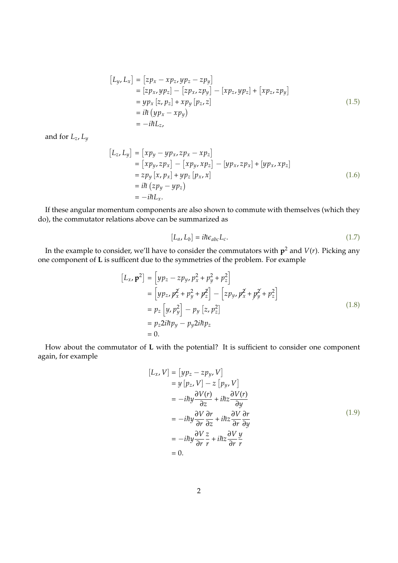$$
[L_y, L_x] = [zp_x - xp_z, yp_z - zpy]
$$
  
\n
$$
= [zp_x, yp_z] - [zp_x, zpy] - [xp_z, yp_z] + [xp_z, zpy]
$$
  
\n
$$
= yp_x [z, p_z] + xp_y [p_z, z]
$$
  
\n
$$
= i\hbar (yp_x - xp_y)
$$
  
\n
$$
= -i\hbar L_z,
$$
\n(1.5)

and for *Lz*, *L<sup>y</sup>*

$$
[L_z, L_y] = [xp_y - yp_x, zp_x - xp_z]
$$
  
\n
$$
= [xp_y, zp_x] - [xp_y, xp_z] - [yp_x, zp_x] + [yp_x, xp_z]
$$
  
\n
$$
= zp_y [x, p_x] + yp_z [p_x, x]
$$
  
\n
$$
= i\hbar (zp_y - yp_z)
$$
  
\n
$$
= -i\hbar L_x.
$$
\n(1.6)

If these angular momentum components are also shown to commute with themselves (which they do), the commutator relations above can be summarized as

$$
[L_a, L_b] = i\hbar \epsilon_{abc} L_c.
$$
\n(1.7)

In the example to consider, we'll have to consider the commutators with **p** <sup>2</sup> and *V*(*r*). Picking any one component of **L** is sufficent due to the symmetries of the problem. For example

$$
[L_x, \mathbf{p}^2] = [yp_z - zp_y, p_x^2 + p_y^2 + p_z^2]
$$
  
\n
$$
= [yp_z, p_x^2 + p_y^2 + p_z^2] - [zp_y, p_x^2 + p_y^2 + p_z^2]
$$
  
\n
$$
= p_z [y, p_y^2] - p_y [z, p_z^2]
$$
  
\n
$$
= p_z 2i\hbar p_y - p_y 2i\hbar p_z
$$
  
\n
$$
= 0.
$$
\n(1.8)

How about the commutator of **L** with the potential? It is sufficient to consider one component again, for example

$$
[L_x, V] = [yp_z - zpy, V]
$$
  
\n
$$
= y [p_z, V] - z [p_y, V]
$$
  
\n
$$
= -i\hbar y \frac{\partial V(r)}{\partial z} + i\hbar z \frac{\partial V(r)}{\partial y}
$$
  
\n
$$
= -i\hbar y \frac{\partial V}{\partial r} \frac{\partial r}{\partial z} + i\hbar z \frac{\partial V}{\partial r} \frac{\partial r}{\partial y}
$$
  
\n
$$
= -i\hbar y \frac{\partial V}{\partial r} \frac{z}{r} + i\hbar z \frac{\partial V}{\partial r} \frac{y}{r}
$$
  
\n
$$
= 0.
$$
 (1.9)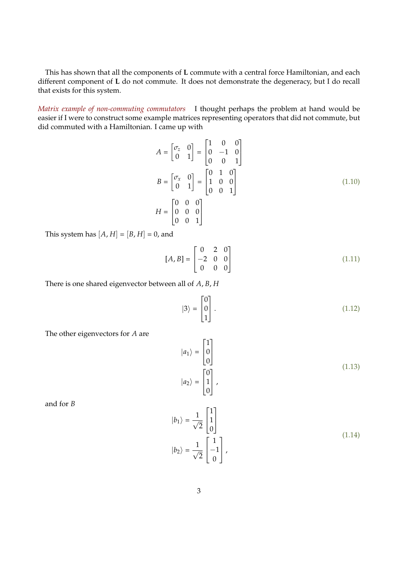This has shown that all the components of **L** commute with a central force Hamiltonian, and each different component of **L** do not commute. It does not demonstrate the degeneracy, but I do recall that exists for this system.

*Matrix example of non-commuting commutators* I thought perhaps the problem at hand would be easier if I were to construct some example matrices representing operators that did not commute, but did commuted with a Hamiltonian. I came up with

$$
A = \begin{bmatrix} \sigma_z & 0 \\ 0 & 1 \end{bmatrix} = \begin{bmatrix} 1 & 0 & 0 \\ 0 & -1 & 0 \\ 0 & 0 & 1 \end{bmatrix}
$$
  
\n
$$
B = \begin{bmatrix} \sigma_x & 0 \\ 0 & 1 \end{bmatrix} = \begin{bmatrix} 0 & 1 & 0 \\ 1 & 0 & 0 \\ 0 & 0 & 1 \end{bmatrix}
$$
(1.10)  
\n
$$
H = \begin{bmatrix} 0 & 0 & 0 \\ 0 & 0 & 0 \\ 0 & 0 & 1 \end{bmatrix}
$$

This system has  $[A, H] = [B, H] = 0$ , and

$$
[A, B] = \begin{bmatrix} 0 & 2 & 0 \\ -2 & 0 & 0 \\ 0 & 0 & 0 \end{bmatrix}
$$
 (1.11)

There is one shared eigenvector between all of *A*, *B*, *H*

$$
|3\rangle = \begin{bmatrix} 0 \\ 0 \\ 1 \end{bmatrix} . \tag{1.12}
$$

The other eigenvectors for *A* are

$$
|a_1\rangle = \begin{bmatrix} 1 \\ 0 \\ 0 \end{bmatrix}
$$
  

$$
|a_2\rangle = \begin{bmatrix} 0 \\ 1 \\ 0 \end{bmatrix},
$$
 (1.13)

and for *B*

<span id="page-2-0"></span>
$$
|b_1\rangle = \frac{1}{\sqrt{2}} \begin{bmatrix} 1 \\ 1 \\ 0 \end{bmatrix}
$$
  

$$
|b_2\rangle = \frac{1}{\sqrt{2}} \begin{bmatrix} 1 \\ -1 \\ 0 \end{bmatrix},
$$
 (1.14)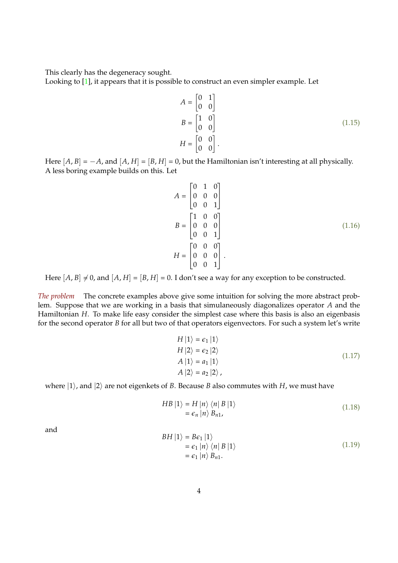This clearly has the degeneracy sought.

Looking to [\[1\]](#page-5-1), it appears that it is possible to construct an even simpler example. Let

$$
A = \begin{bmatrix} 0 & 1 \\ 0 & 0 \end{bmatrix}
$$
  
\n
$$
B = \begin{bmatrix} 1 & 0 \\ 0 & 0 \end{bmatrix}
$$
  
\n
$$
H = \begin{bmatrix} 0 & 0 \\ 0 & 0 \end{bmatrix}.
$$
\n(1.15)

Here  $[A, B] = -A$ , and  $[A, H] = [B, H] = 0$ , but the Hamiltonian isn't interesting at all physically. A less boring example builds on this. Let

$$
A = \begin{bmatrix} 0 & 1 & 0 \\ 0 & 0 & 0 \\ 0 & 0 & 1 \end{bmatrix}
$$
  
\n
$$
B = \begin{bmatrix} 1 & 0 & 0 \\ 0 & 0 & 0 \\ 0 & 0 & 1 \end{bmatrix}
$$
  
\n
$$
H = \begin{bmatrix} 0 & 0 & 0 \\ 0 & 0 & 0 \\ 0 & 0 & 1 \end{bmatrix}.
$$
 (1.16)

Here  $[A, B] \neq 0$ , and  $[A, H] = [B, H] = 0$ . I don't see a way for any exception to be constructed.

*The problem* The concrete examples above give some intuition for solving the more abstract problem. Suppose that we are working in a basis that simulaneously diagonalizes operator *A* and the Hamiltonian *H*. To make life easy consider the simplest case where this basis is also an eigenbasis for the second operator *B* for all but two of that operators eigenvectors. For such a system let's write

<span id="page-3-0"></span>
$$
H |1\rangle = \epsilon_1 |1\rangle
$$
  
\n
$$
H |2\rangle = \epsilon_2 |2\rangle
$$
  
\n
$$
A |1\rangle = a_1 |1\rangle
$$
  
\n
$$
A |2\rangle = a_2 |2\rangle,
$$
\n(1.17)

where  $|1\rangle$ , and  $|2\rangle$  are not eigenkets of *B*. Because *B* also commutes with *H*, we must have

$$
HB |1\rangle = H |n\rangle \langle n| B |1\rangle = \epsilon_n |n\rangle B_{n1}, \qquad (1.18)
$$

and

$$
BH |1\rangle = Be_1 |1\rangle
$$
  
=  $\epsilon_1 |n\rangle \langle n| B |1\rangle$   
=  $\epsilon_1 |n\rangle B_{n1}$ . (1.19)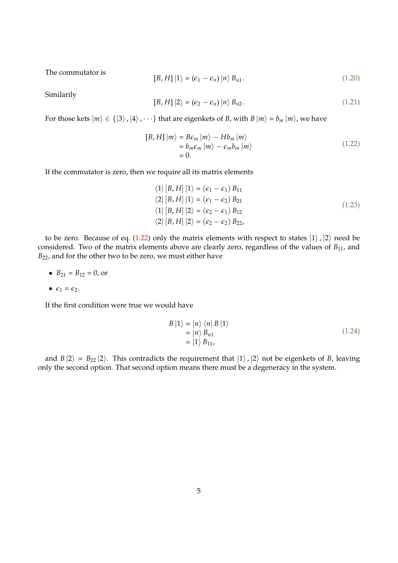The commutator is

$$
[B, H] |1\rangle = (\epsilon_1 - \epsilon_n) |n\rangle B_{n1}.
$$
\n(1.20)

Similarily

$$
[B, H] |2\rangle = (\epsilon_2 - \epsilon_n) |n\rangle B_{n2}.
$$
 (1.21)

For those kets  $|m\rangle \in \{ |3\rangle, |4\rangle, \cdots \}$  that are eigenkets of *B*, with *B*  $|m\rangle = b_m |m\rangle$ , we have

$$
[B, H] |m\rangle = B\epsilon_m |m\rangle - Hb_m |m\rangle
$$
  
=  $b_m \epsilon_m |m\rangle - \epsilon_m b_m |m\rangle$   
= 0. (1.22)

If the commutator is zero, then we require all its matrix elements

$$
\langle 1 | [B, H] | 1 \rangle = (\epsilon_1 - \epsilon_1) B_{11}
$$
  
\n
$$
\langle 2 | [B, H] | 1 \rangle = (\epsilon_1 - \epsilon_2) B_{21}
$$
  
\n
$$
\langle 1 | [B, H] | 2 \rangle = (\epsilon_2 - \epsilon_1) B_{12}
$$
  
\n
$$
\langle 2 | [B, H] | 2 \rangle = (\epsilon_2 - \epsilon_2) B_{22},
$$
  
\n
$$
(1.23)
$$

to be zero. Because of eq. [\(1.22\)](#page-3-0) only the matrix elements with respect to states  $|1\rangle$ ,  $|2\rangle$  need be considered. Two of the matrix elements above are clearly zero, regardless of the values of  $B_{11}$ , and *B*22, and for the other two to be zero, we must either have

• 
$$
B_{21} = B_{12} = 0
$$
, or

$$
\bullet \ \epsilon_1=\epsilon_2.
$$

If the first condition were true we would have

$$
B |1\rangle = |n\rangle \langle n| B |1\rangle
$$
  
= |n\rangle B<sub>n1</sub>  
= |1\rangle B<sub>11</sub>, (1.24)

and  $B |2\rangle = B_{22} |2\rangle$ . This contradicts the requirement that  $|1\rangle$ ,  $|2\rangle$  not be eigenkets of *B*, leaving only the second option. That second option means there must be a degeneracy in the system.